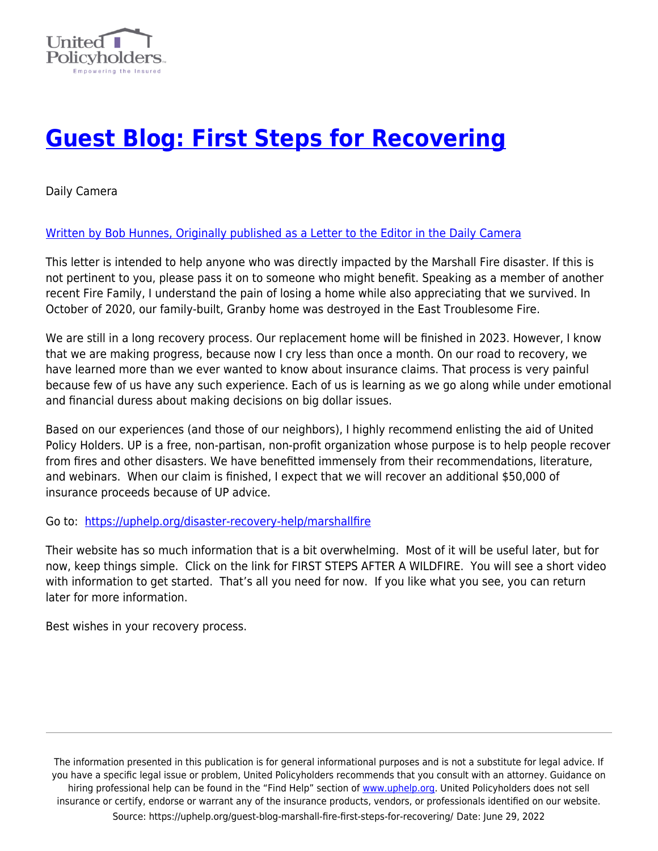

## **[Guest Blog: First Steps for Recovering](https://uphelp.org/guest-blog-marshall-fire-first-steps-for-recovering/)**

Daily Camera

## [Written by Bob Hunnes, Originally published as a Letter to the Editor in the Daily Camera](https://www.dailycamera.com/2022/01/05/letters-to-the-editor-jan-6-anniversary-marshall-fire-puppies-marshall-fire-recovery/)

This letter is intended to help anyone who was directly impacted by the Marshall Fire disaster. If this is not pertinent to you, please pass it on to someone who might benefit. Speaking as a member of another recent Fire Family, I understand the pain of losing a home while also appreciating that we survived. In October of 2020, our family-built, Granby home was destroyed in the East Troublesome Fire.

We are still in a long recovery process. Our replacement home will be finished in 2023. However, I know that we are making progress, because now I cry less than once a month. On our road to recovery, we have learned more than we ever wanted to know about insurance claims. That process is very painful because few of us have any such experience. Each of us is learning as we go along while under emotional and financial duress about making decisions on big dollar issues.

Based on our experiences (and those of our neighbors), I highly recommend enlisting the aid of United Policy Holders. UP is a free, non-partisan, non-profit organization whose purpose is to help people recover from fires and other disasters. We have benefitted immensely from their recommendations, literature, and webinars. When our claim is finished, I expect that we will recover an additional \$50,000 of insurance proceeds because of UP advice.

Go to: [https://uphelp.org/disaster-recovery-help/marshallfire](https://uphelp.org/disaster-recovery-help/marshallfire/)

Their website has so much information that is a bit overwhelming. Most of it will be useful later, but for now, keep things simple. Click on the link for FIRST STEPS AFTER A WILDFIRE. You will see a short video with information to get started. That's all you need for now. If you like what you see, you can return later for more information.

Best wishes in your recovery process.

The information presented in this publication is for general informational purposes and is not a substitute for legal advice. If you have a specific legal issue or problem, United Policyholders recommends that you consult with an attorney. Guidance on hiring professional help can be found in the "Find Help" section of [www.uphelp.org.](http://www.uphelp.org/) United Policyholders does not sell insurance or certify, endorse or warrant any of the insurance products, vendors, or professionals identified on our website. Source: https://uphelp.org/guest-blog-marshall-fire-first-steps-for-recovering/ Date: June 29, 2022